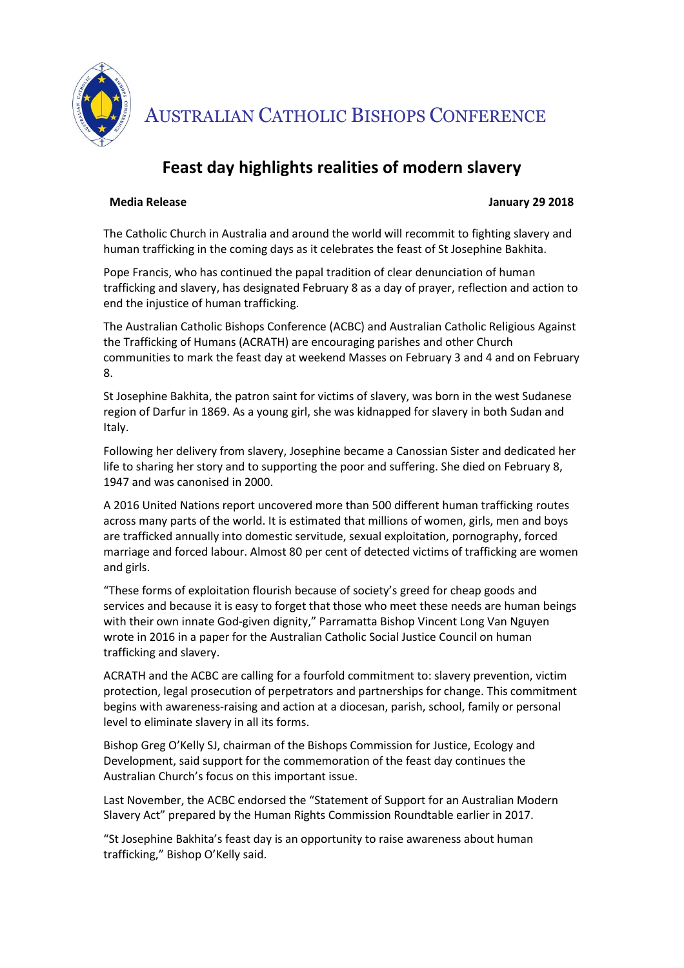

AUSTRALIAN CATHOLIC BISHOPS CONFERENCE

## **Feast day highlights realities of modern slavery**

## **Media Release January 29 2018**

The Catholic Church in Australia and around the world will recommit to fighting slavery and human trafficking in the coming days as it celebrates the feast of St Josephine Bakhita.

Pope Francis, who has continued the papal tradition of clear denunciation of human trafficking and slavery, has designated February 8 as a day of prayer, reflection and action to end the injustice of human trafficking.

The Australian Catholic Bishops Conference (ACBC) and Australian Catholic Religious Against the Trafficking of Humans (ACRATH) are encouraging parishes and other Church communities to mark the feast day at weekend Masses on February 3 and 4 and on February 8.

St Josephine Bakhita, the patron saint for victims of slavery, was born in the west Sudanese region of Darfur in 1869. As a young girl, she was kidnapped for slavery in both Sudan and Italy.

Following her delivery from slavery, Josephine became a Canossian Sister and dedicated her life to sharing her story and to supporting the poor and suffering. She died on February 8, 1947 and was canonised in 2000.

A 2016 United Nations report uncovered more than 500 different human trafficking routes across many parts of the world. It is estimated that millions of women, girls, men and boys are trafficked annually into domestic servitude, sexual exploitation, pornography, forced marriage and forced labour. Almost 80 per cent of detected victims of trafficking are women and girls.

"These forms of exploitation flourish because of society's greed for cheap goods and services and because it is easy to forget that those who meet these needs are human beings with their own innate God-given dignity," Parramatta Bishop Vincent Long Van Nguyen wrote in 2016 in a paper for the Australian Catholic Social Justice Council on human trafficking and slavery.

ACRATH and the ACBC are calling for a fourfold commitment to: slavery prevention, victim protection, legal prosecution of perpetrators and partnerships for change. This commitment begins with awareness-raising and action at a diocesan, parish, school, family or personal level to eliminate slavery in all its forms.

Bishop Greg O'Kelly SJ, chairman of the Bishops Commission for Justice, Ecology and Development, said support for the commemoration of the feast day continues the Australian Church's focus on this important issue.

Last November, the ACBC endorsed the "Statement of Support for an Australian Modern Slavery Act" prepared by the Human Rights Commission Roundtable earlier in 2017.

"St Josephine Bakhita's feast day is an opportunity to raise awareness about human trafficking," Bishop O'Kelly said.